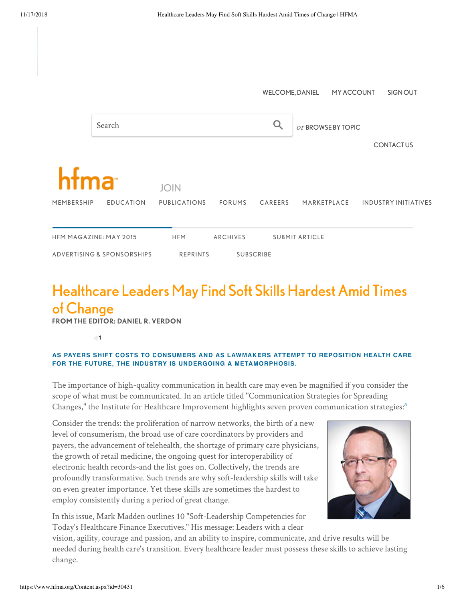|                               |                            | <b>WELCOME, DANIEL</b><br>MY ACCOUNT<br>SIGN OUT |                 |                       |                    |             |                             |
|-------------------------------|----------------------------|--------------------------------------------------|-----------------|-----------------------|--------------------|-------------|-----------------------------|
|                               | Search                     |                                                  |                 |                       | or BROWSE BY TOPIC |             |                             |
|                               |                            |                                                  |                 |                       |                    |             | <b>CONTACTUS</b>            |
| hfma                          |                            | <b>JOIN</b>                                      |                 |                       |                    |             |                             |
| MEMBERSHIP                    | <b>EDUCATION</b>           | <b>PUBLICATIONS</b>                              | <b>FORUMS</b>   | CAREERS               |                    | MARKETPLACE | <b>INDUSTRY INITIATIVES</b> |
| <b>HFM MAGAZINE: MAY 2015</b> |                            | <b>HFM</b>                                       | <b>ARCHIVES</b> | <b>SUBMIT ARTICLE</b> |                    |             |                             |
|                               | ADVERTISING & SPONSORSHIPS | <b>REPRINTS</b><br><b>SUBSCRIBE</b>              |                 |                       |                    |             |                             |

## Healthcare Leaders May Find Soft Skills Hardest Amid Times of Change

FROM THE EDITOR: DANIEL R. VERDON

**1**

## **AS PAYERS SHIFT COSTS TO CONSUMERS AND AS LAWMAKERS ATTEMPT TO REPOSITION HEALTH CARE FOR THE FUTURE, THE INDUSTRY IS UNDERGOING A METAMORPHOSIS.**

The importance of high-quality communication in health care may even be magnified if you consider the scope of what must be communicated. In an article titled "Communication Strategies for Spreading Changes," the Institute for Healthcare Improvement highlights seven proven communication strategies: [a](#page-1-0)

Consider the trends: the proliferation of narrow networks, the birth of a new level of consumerism, the broad use of care coordinators by providers and payers, the advancement of telehealth, the shortage of primary care physicians, the growth of retail medicine, the ongoing quest for interoperability of electronic health records-and the list goes on. Collectively, the trends are profoundly transformative. Such trends are why soft-leadership skills will take on even greater importance. Yet these skills are sometimes the hardest to employ consistently during a period of great change.



In this issue, Mark Madden outlines 10 "Soft-Leadership Competencies for Today's Healthcare Finance Executives." His message: Leaders with a clear

vision, agility, courage and passion, and an ability to inspire, communicate, and drive results will be needed during health care's transition. Every healthcare leader must possess these skills to achieve lasting change.